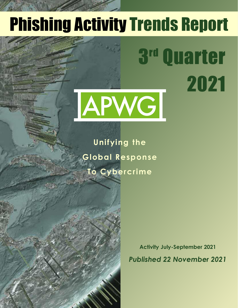## Phishing Activity Trends Report

3

Quarter

2021

# APWG

**Unifying the Global Response To Cybercrime**

Table of Contents of Contents of

**Statistical Highlights for 2nd Quarter 2017 3 Philadelphia E-mail Reports and Philadelphia Site Trends 44 Brand-Domain Pairs Measurement 5**

**E-mail Phishing Attacks 6 Use of Domain Names for Phishing 7-9 Phishing and Identity Theft in Brazil 10-11 Most Targeted Industry Sectors 12 APWG Phishing Trends Report Contributors 13**

**Brands & Legitimate Entities Hijacked by**

**Activity July-September 2021** *Published 22 November 2021*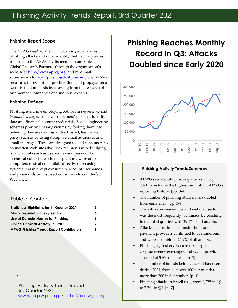## **Phishing Report Scope**

The *APWG Phishing Activity Trends Report* analyzes phishing attacks and other identity theft techniques, as reported to the APWG by its member companies, its Global Research Partners, through the organization's website at http://www.apwg.org, and by e-mail submissions to reportphishing@antiphishing.org. APWG measures the evolution, proliferation, and propagation of identity theft methods by drawing from the research of our member companies and industry experts.

## **Phishing Defined**

Phishing is a crime employing both *social engineering* and *technical subterfuge* to steal consumers' personal identity data and financial account credentials. Social engineering schemes prey on unwary victims by fooling them into believing they are dealing with a trusted, legitimate party, such as by using deceptive email addresses and email messages. These are designed to lead consumers to counterfeit Web sites that trick recipients into divulging financial data such as usernames and passwords. Technical subterfuge schemes plant malware onto computers to steal credentials directly, often using systems that intercept consumers' account usernames and passwords or misdirect consumers to counterfeit Web sites.

## Table of Contents

| <b>Statistical Highlights for 1st Quarter 2021</b> | 3 |
|----------------------------------------------------|---|
| <b>Most-Targeted Industry Sectors</b>              | 5 |
| <b>Use of Domain Names for Phishing</b>            | 6 |
| <b>Online Criminal Activity in Brazil</b>          | 7 |
| <b>APWG Phishing Trends Report Contributors</b>    | 9 |

#### 2

Phishing Activity Trends Report 3rd Quarter 2021 www.apwg.org · info@apwg.org

## **Phishing Reaches Monthly Record in Q3; Attacks Doubled since Early 2020**



#### **Phishing Activity Trends Summary**

- APWG saw 260,642 phishing attacks in July 2021, which was the highest monthly in APWG's reporting history. [pp. 3-4]
- The number of phishing attacks has doubled from early 2020. [pp. 3-4]
- The software-as-a-service and webmail sector was the most frequently victimized by phishing in the third quarter, with 29.1% of all attacks.
- Attacks against financial institutions and payment providers continued to be numerous, and were a combined 24.9% of all attacks.
- Phishing against cryptocurrency targets cryptocurrency exchanges and wallet providers – settled at 5.6% of attacks. [p. 5]
- The number of brands being attacked has risen during 2021, from just over 400 per month to more than 700 in September. [p. 4]
- Phishing attacks in Brazil rose, from 4,275 in Q2 to 7,741 in Q3. [p. 7]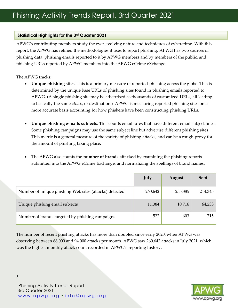## **Statistical Highlights for the 3rd Quarter 2021**

APWG's contributing members study the ever-evolving nature and techniques of cybercrime. With this report, the APWG has refined the methodologies it uses to report phishing. APWG has two sources of phishing data: phishing emails reported to it by APWG members and by members of the public, and phishing URLs reported by APWG members into the APWG eCrime eXchange.

The APWG tracks:

- **Unique phishing sites**. This is a primary measure of reported phishing across the globe. This is determined by the unique base URLs of phishing sites found in phishing emails reported to APWG. (A single phishing site may be advertised as thousands of customized URLs, all leading to basically the same *attack*, or destination.) APWG is measuring reported phishing sites on a more accurate basis accounting for how phishers have been constructing phishing URLs.
- **Unique phishing e-mails subjects**. This counts email lures that have different email subject lines. Some phishing campaigns may use the same subject line but advertise different phishing sites. This metric is a general measure of the variety of phishing attacks, and can be a rough proxy for the amount of phishing taking place.
- The APWG also counts the **number of brands attacked** by examining the phishing reports submitted into the APWG eCrime Exchange, and normalizing the spellings of brand names.

|                                                        | July    | August  | Sept.   |
|--------------------------------------------------------|---------|---------|---------|
| Number of unique phishing Web sites (attacks) detected | 260,642 | 255,385 | 214,345 |
| Unique phishing email subjects                         | 11,384  | 10,716  | 64,233  |
| Number of brands targeted by phishing campaigns        | 522     | 603     | 715     |

The number of recent phishing attacks has more than doubled since early 2020, when APWG was observing between 68,000 and 94,000 attacks per month. APWG saw 260,642 attacks in July 2021, which was the highest monthly attack count recorded in APWG's reporting history.



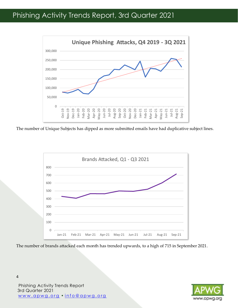## Phishing Activity Trends Report, 3rd Quarter 2021



The number of Unique Subjects has dipped as more submitted emails have had duplicative subject lines.



The number of brands attacked each month has trended upwards, to a high of 715 in September 2021.

Phishing Activity Trends Report 3rd Quarter 2021 www.apwg.org · info@apwg.org

4

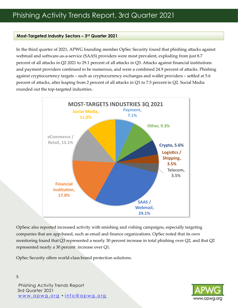#### **Most-Targeted Industry Sectors – 3rd Quarter 2021**

In the third quarter of 2021, APWG founding member OpSec Security found that phishing attacks against webmail and software-as-a-service (SAAS) providers were most prevalent, exploding from just 8.7 percent of all attacks in Q2 2021 to 29.1 percent of all attacks in Q3. Attacks against financial institutions and payment providers continued to be numerous, and were a combined 24.9 percent of attacks. Phishing against cryptocurrency targets – such as cryptocurrency exchanges and wallet providers – settled at 5.6 percent of attacks, after leaping from 2 percent of all attacks in Q1 to 7.5 percent in Q2. Social Media rounded out the top-targeted industries.



OpSesc also reported increased activity with smishing and vishing campaigns, especially targeting companies that are app-based, such as email and finance organizations. OpSec noted that its own monitoring found that Q3 represented a nearly 30 percent increase in total phishing over Q2, and that Q2 represented nearly a 30 percent increase over Q1.

OpSec Security offers world-class brand protection solutions.

Phishing Activity Trends Report 3rd Quarter 2021 w w w . a p w g . o r g • i n f o @ a p w g . o r g

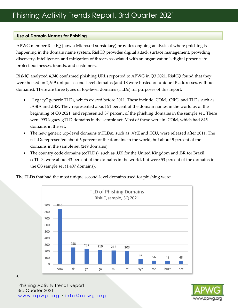#### **Use of Domain Names for Phishing**

APWG member RiskIQ (now a Microsoft subsidiary) provides ongoing analysis of where phishing is happening in the domain name system. RiskIQ provides digital attack surface management, providing discovery, intelligence, and mitigation of threats associated with an organization's digital presence to protect businesses, brands, and customers.

RiskIQ analyzed 4,340 confirmed phishing URLs reported to APWG in Q3 2021. RiskIQ found that they were hosted on 2,649 unique second-level domains (and 18 were hosted on unique IP addresses, without domains). There are three types of top-level domains (TLDs) for purposes of this report:

- "Legacy" generic TLDs, which existed before 2011. These include .COM, .ORG, and TLDs such as .ASIA and .BIZ. They represented about 51 percent of the domain names in the world as of the beginning of Q3 2021, and represented 37 percent of the phishing domains in the sample set. There were 993 legacy gTLD domains in the sample set. Most of those were in .COM, which had 845 domains in the set.
- The new generic top-level domains (nTLDs), such as .XYZ and .ICU, were released after 2011. The nTLDs represented about 6 percent of the domains in the world, but about 9 percent of the domains in the sample set (249 domains).
- The country code domains (ccTLDs), such as .UK for the United Kingdom and .BR for Brazil. ccTLDs were about 43 percent of the domains in the world, but were 53 percent of the domains in the Q3 sample set (1,407 domains).

The TLDs that had the most unique second-level domains used for phishing were:





Phishing Activity Trends Report 3rd Quarter 2021 w w w . a p w g . o r g • i n f o @ a p w g . o r g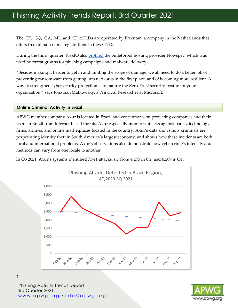## Phishing Activity Trends Report, 3rd Quarter 2021

The .TK, .GQ, .GA, .ML, and .CF ccTLDs are operated by Freenom, a company in the Netherlands that offers free domain name registrations in these TLDs.

During the third quarter, RiskIQ also profiled the bulletproof hosting provider Flowspec, which was used by threat groups for phishing campaigns and malware delivery

"Besides making it harder to get in and limiting the scope of damage, we all need to do a better job of preventing ransomware from getting into networks in the first place, and of becoming more resilient. A way to strengthen cybersecurity protection is to mature the Zero Trust security posture of your organization," says Jonathan Matkowsky, a Principal Researcher at Microsoft.

#### **Online Criminal Activity in Brazil**

APWG member company Axur is located in Brazil and concentrates on protecting companies and their users in Brazil from Internet-based threats. Axur especially monitors attacks against banks, technology firms, airlines, and online marketplaces located in the country. Axur's data shows how criminals are perpetrating identity theft in South America's largest economy, and shows how these incidents are both local and international problems. Axur's observations also demonstrate how cybercrime's intensity and methods can vary from one locale to another.

In Q3 2021, Axur's systems identified 7,741 attacks, up from 4,275 in Q2, and 6,209 in Q1:





Phishing Activity Trends Report 3rd Quarter 2021 w w w . a p w g . o r g • i n f o @ a p w g . o r g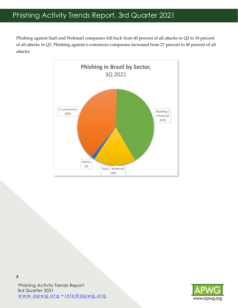## Phishing Activity Trends Report, 3rd Quarter 2021

Phishing against SaaS and Webmail companies fell back from 40 percent of all attacks in Q2 to 18 percent of all attacks in Q3. Phishing against e-commerce companies increased from 27 percent to 40 percent of all attacks:





Phishing Activity Trends Report 3rd Quarter 2021 www.apwg.org • info@apwg.org